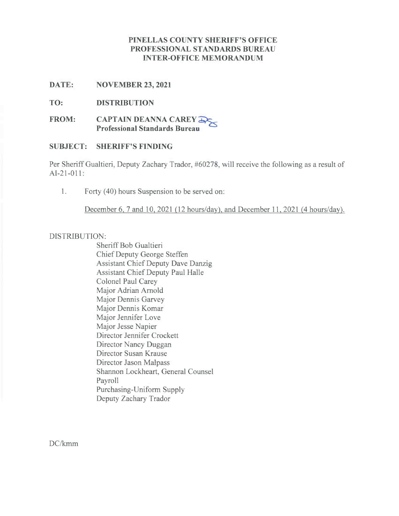# **PINELLAS COUNTY SHERIFF'S OFFICE PROFESSIONAL STANDARDS BUREAU INTER-OFFICE MEMORANDUM**

**DATE: NOVEMBER 23, 2021**

**TO: DISTRIBUTION**

**FROM: CAPTAIN DEANNA CAREY B,\_ Professional Standards Bureau**

# **SUBJECT: SHERIFF'S FINDING**

Per Sheriff Gualtieri, Deputy Zachary Trador, #60278, will receive the following as a result of AI-21-011:

1. Forty (40) hours Suspension to be served on:

December 6, 7 and 10, 2021 (12 hours/day), and December 11, 2021 (4 hours/day).

# DISTRIBUTION:

Sheriff Bob Gualtieri Chief Deputy George Steffen Assistant Chief Deputy Dave Danzig Assistant Chief Deputy Paul Halle Colonel Paul Carey Major Adrian Arnold Major Dennis Garvey Major Dennis Komar Major Jennifer Love Major Jesse Napier Director Jennifer Crockett Director Nancy Duggan Director Susan Krause Director Jason Malpass Shannon Lockheart, General Counsel Payroll Purchasing-Uniform Supply Deputy Zachary Trador

DC/kmm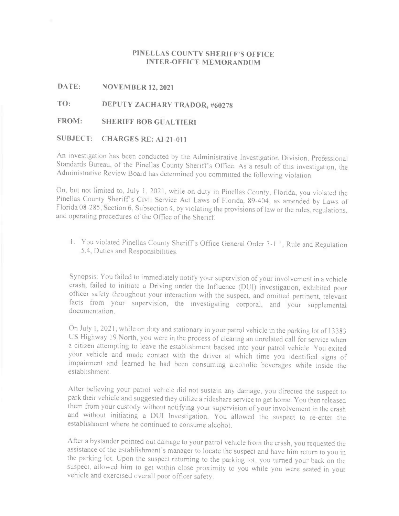### **PINELLAS COUNTY SHERIFF'S OFFICE INTER-OFFICE MEMORANDUM**

### **DATE: NOVEMBER 12, 2021**

# **TO: DEPUTY ZACHARY TRADOR, #60278**

#### **FROM: SHERIFF BOB GUALTIERI**

### **SUBJECT: CHARGES RE: AI-21-011**

An investigation has been conducted by the Administrative Investigation Division, Professional Standards Bureau, of the Pinellas County Sheriffs Office. As <sup>a</sup> result of this investigation. the Administrative Review Board has determined you committed the following violation:

On, but not limited to, July l, 2021, while on duty in Pinellas County, Florida, you violated the Pinellas County Sheriff's Civil Service Act Laws of Florida, 89-404, as amended by Laws of Florida 08-285, Section 6, Subsection 4, by violating the provisions oflaw or the rules. regulations, and operating procedures of the Office of the Sheriff.

I. You violated Pinellas County Sheriff's Office General Order 3-1.1. Rule and Regulation 5.4, Duties and Responsibilities.

Synopsis: You failed to immediately notify your supervision of your involvement in a vehicle crash, failed to initiate <sup>a</sup> Driving under the Influence (DUI) investigation, exhibited poor officer safety throughout your interaction with the suspect. and omitted pertinent. relevant facts from your supervision, the investigating corporal. and your supplemental documentation.

On July I, 2021, while on duty and stationary in your patrol vehicle in the parking lot 0f 13383 US Highway 19 North, you were in the process of clearing an unrelated call for service when <sup>a</sup> citizen attempting to leave the establishment backed into your patrol vehicle. You exited your vehicle and made contact with the driver at which time you identified signs of impairment and learned he had been consuming alcoholic beverages while inside the establishment.

After believing your patrol vehicle did not sustain any damage, you directed the suspect to park their vehicle and suggested they utilize a rideshare service to get home. You then released them from your custody without notifying your supervision of your involvement in the crash and without initiating a DUI Investigation. You allowed the suspect to re-enter the establishment where he continued to consume alcohol.

After <sup>a</sup> bystander pointed out damage to your patrol vehicle from the crash, you requested the assistance of the establishment's manager to locate the suspect and have him return to you in the parking lot. Upon the suspect returning to the parking lot, you turned your back on the suspect, allowed him to get within close proximity to you while you were seated in your vehicle and exercised overall poor officer safety.